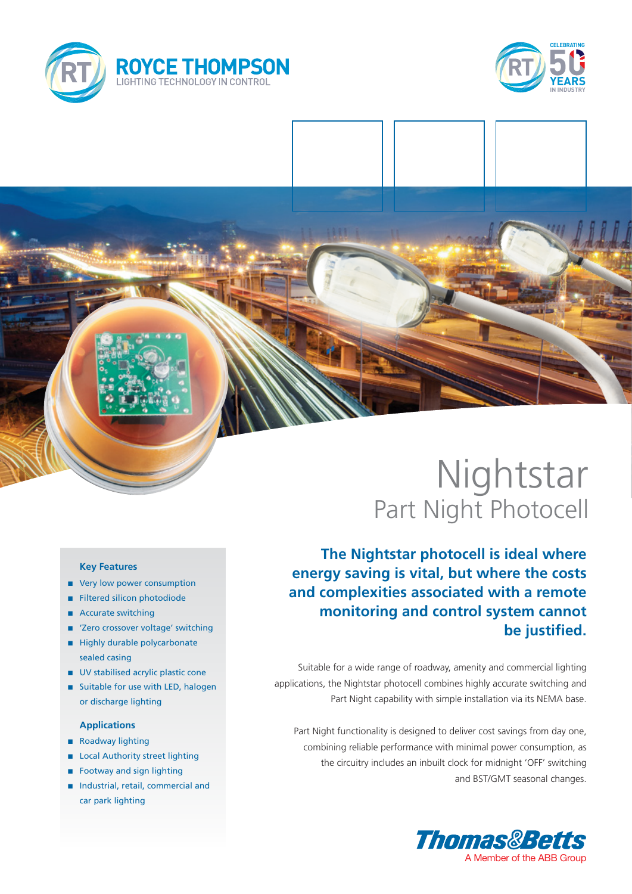



# Nightstar Part Night Photocell

**The Nightstar photocell is ideal where energy saving is vital, but where the costs and complexities associated with a remote monitoring and control system cannot be justified.**

Suitable for a wide range of roadway, amenity and commercial lighting applications, the Nightstar photocell combines highly accurate switching and Part Night capability with simple installation via its NEMA base.

Part Night functionality is designed to deliver cost savings from day one, combining reliable performance with minimal power consumption, as the circuitry includes an inbuilt clock for midnight 'OFF' switching and BST/GMT seasonal changes.



### **Key Features**

- very low power consumption
- Filtered silicon photodiode
- Accurate switching
- 'Zero crossover voltage' switching
- Highly durable polycarbonate sealed casing
- $\blacksquare$  UV stabilised acrylic plastic cone
- Suitable for use with LED, halogen or discharge lighting

### **Applications**

- Roadway lighting
- **n** Local Authority street lighting
- **n** Footway and sign lighting
- n Industrial, retail, commercial and car park lighting